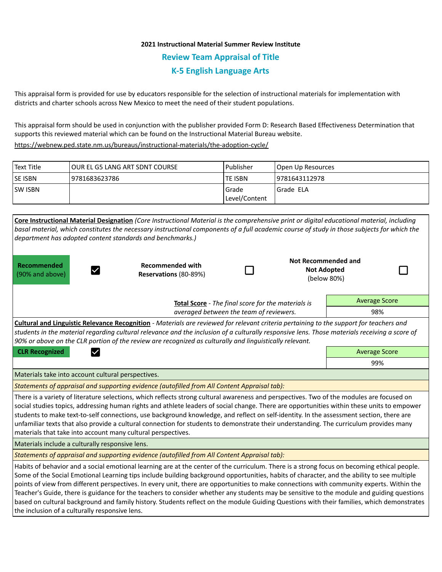# **2021 Instructional Material Summer Review Institute Review Team Appraisal of Title K-5 English Language Arts**

This appraisal form is provided for use by educators responsible for the selection of instructional materials for implementation with districts and charter schools across New Mexico to meet the need of their student populations.

This appraisal form should be used in conjunction with the publisher provided Form D: Research Based Effectiveness Determination that supports this reviewed material which can be found on the Instructional Material Bureau website.

<https://webnew.ped.state.nm.us/bureaus/instructional-materials/the-adoption-cycle/>

| Text Title     | TOUR EL G5 LANG ART SDNT COURSE | l Publisher               | Open Up Resources |
|----------------|---------------------------------|---------------------------|-------------------|
| <b>SE ISBN</b> | 9781683623786                   | lte ISBN                  | 19781643112978    |
| <b>SW ISBN</b> |                                 | l Grade<br> Level/Content | lGrade ELA        |

|                                                                                                                                                                                                                                                                                                                                                                                                                                                                                                                                                                                                                                                                                                                                                                                    |                                                  | Core Instructional Material Designation (Core Instructional Material is the comprehensive print or digital educational material, including |  |                                                                 |  |  |  |  |  |  |
|------------------------------------------------------------------------------------------------------------------------------------------------------------------------------------------------------------------------------------------------------------------------------------------------------------------------------------------------------------------------------------------------------------------------------------------------------------------------------------------------------------------------------------------------------------------------------------------------------------------------------------------------------------------------------------------------------------------------------------------------------------------------------------|--------------------------------------------------|--------------------------------------------------------------------------------------------------------------------------------------------|--|-----------------------------------------------------------------|--|--|--|--|--|--|
| basal material, which constitutes the necessary instructional components of a full academic course of study in those subjects for which the<br>department has adopted content standards and benchmarks.)                                                                                                                                                                                                                                                                                                                                                                                                                                                                                                                                                                           |                                                  |                                                                                                                                            |  |                                                                 |  |  |  |  |  |  |
|                                                                                                                                                                                                                                                                                                                                                                                                                                                                                                                                                                                                                                                                                                                                                                                    |                                                  |                                                                                                                                            |  |                                                                 |  |  |  |  |  |  |
| Recommended<br>(90% and above)                                                                                                                                                                                                                                                                                                                                                                                                                                                                                                                                                                                                                                                                                                                                                     | <b>Recommended with</b><br>Reservations (80-89%) |                                                                                                                                            |  | <b>Not Recommended and</b><br><b>Not Adopted</b><br>(below 80%) |  |  |  |  |  |  |
|                                                                                                                                                                                                                                                                                                                                                                                                                                                                                                                                                                                                                                                                                                                                                                                    |                                                  | <b>Average Score</b><br><b>Total Score</b> - The final score for the materials is                                                          |  |                                                                 |  |  |  |  |  |  |
|                                                                                                                                                                                                                                                                                                                                                                                                                                                                                                                                                                                                                                                                                                                                                                                    | averaged between the team of reviewers.          |                                                                                                                                            |  |                                                                 |  |  |  |  |  |  |
| Cultural and Linguistic Relevance Recognition - Materials are reviewed for relevant criteria pertaining to the support for teachers and<br>students in the material regarding cultural relevance and the inclusion of a culturally responsive lens. Those materials receiving a score of<br>90% or above on the CLR portion of the review are recognized as culturally and linguistically relevant.                                                                                                                                                                                                                                                                                                                                                                                |                                                  |                                                                                                                                            |  |                                                                 |  |  |  |  |  |  |
| <b>CLR Recognized</b>                                                                                                                                                                                                                                                                                                                                                                                                                                                                                                                                                                                                                                                                                                                                                              |                                                  |                                                                                                                                            |  | <b>Average Score</b>                                            |  |  |  |  |  |  |
|                                                                                                                                                                                                                                                                                                                                                                                                                                                                                                                                                                                                                                                                                                                                                                                    |                                                  |                                                                                                                                            |  | 99%                                                             |  |  |  |  |  |  |
| Materials take into account cultural perspectives.                                                                                                                                                                                                                                                                                                                                                                                                                                                                                                                                                                                                                                                                                                                                 |                                                  |                                                                                                                                            |  |                                                                 |  |  |  |  |  |  |
| Statements of appraisal and supporting evidence (autofilled from All Content Appraisal tab):                                                                                                                                                                                                                                                                                                                                                                                                                                                                                                                                                                                                                                                                                       |                                                  |                                                                                                                                            |  |                                                                 |  |  |  |  |  |  |
| There is a variety of literature selections, which reflects strong cultural awareness and perspectives. Two of the modules are focused on<br>social studies topics, addressing human rights and athlete leaders of social change. There are opportunities within these units to empower<br>students to make text-to-self connections, use background knowledge, and reflect on self-identity. In the assessment section, there are<br>unfamiliar texts that also provide a cultural connection for students to demonstrate their understanding. The curriculum provides many<br>materials that take into account many cultural perspectives.                                                                                                                                       |                                                  |                                                                                                                                            |  |                                                                 |  |  |  |  |  |  |
| Materials include a culturally responsive lens.                                                                                                                                                                                                                                                                                                                                                                                                                                                                                                                                                                                                                                                                                                                                    |                                                  |                                                                                                                                            |  |                                                                 |  |  |  |  |  |  |
| Statements of appraisal and supporting evidence (autofilled from All Content Appraisal tab):                                                                                                                                                                                                                                                                                                                                                                                                                                                                                                                                                                                                                                                                                       |                                                  |                                                                                                                                            |  |                                                                 |  |  |  |  |  |  |
| Habits of behavior and a social emotional learning are at the center of the curriculum. There is a strong focus on becoming ethical people.<br>Some of the Social Emotional Learning tips include building background opportunities, habits of character, and the ability to see multiple<br>points of view from different perspectives. In every unit, there are opportunities to make connections with community experts. Within the<br>Teacher's Guide, there is guidance for the teachers to consider whether any students may be sensitive to the module and guiding questions<br>based on cultural background and family history. Students reflect on the module Guiding Questions with their families, which demonstrates<br>the inclusion of a culturally responsive lens. |                                                  |                                                                                                                                            |  |                                                                 |  |  |  |  |  |  |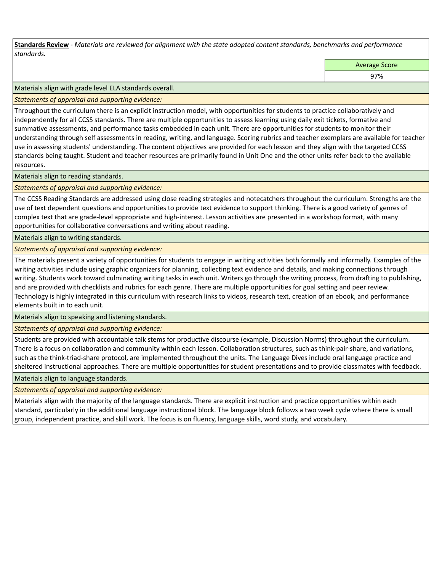**Standards Review** *- Materials are reviewed for alignment with the state adopted content standards, benchmarks and performance standards.*

Average Score

97%

Materials align with grade level ELA standards overall.

*Statements of appraisal and supporting evidence:* 

Throughout the curriculum there is an explicit instruction model, with opportunities for students to practice collaboratively and independently for all CCSS standards. There are multiple opportunities to assess learning using daily exit tickets, formative and summative assessments, and performance tasks embedded in each unit. There are opportunities for students to monitor their understanding through self assessments in reading, writing, and language. Scoring rubrics and teacher exemplars are available for teacher use in assessing students' understanding. The content objectives are provided for each lesson and they align with the targeted CCSS standards being taught. Student and teacher resources are primarily found in Unit One and the other units refer back to the available resources.

Materials align to reading standards.

*Statements of appraisal and supporting evidence:* 

The CCSS Reading Standards are addressed using close reading strategies and notecatchers throughout the curriculum. Strengths are the use of text dependent questions and opportunities to provide text evidence to support thinking. There is a good variety of genres of complex text that are grade-level appropriate and high-interest. Lesson activities are presented in a workshop format, with many opportunities for collaborative conversations and writing about reading.

Materials align to writing standards.

*Statements of appraisal and supporting evidence:* 

The materials present a variety of opportunities for students to engage in writing activities both formally and informally. Examples of the writing activities include using graphic organizers for planning, collecting text evidence and details, and making connections through writing. Students work toward culminating writing tasks in each unit. Writers go through the writing process, from drafting to publishing, and are provided with checklists and rubrics for each genre. There are multiple opportunities for goal setting and peer review. Technology is highly integrated in this curriculum with research links to videos, research text, creation of an ebook, and performance elements built in to each unit.

Materials align to speaking and listening standards.

*Statements of appraisal and supporting evidence:* 

Students are provided with accountable talk stems for productive discourse (example, Discussion Norms) throughout the curriculum. There is a focus on collaboration and community within each lesson. Collaboration structures, such as think-pair-share, and variations, such as the think-triad-share protocol, are implemented throughout the units. The Language Dives include oral language practice and sheltered instructional approaches. There are multiple opportunities for student presentations and to provide classmates with feedback.

Materials align to language standards.

*Statements of appraisal and supporting evidence:* 

Materials align with the majority of the language standards. There are explicit instruction and practice opportunities within each standard, particularly in the additional language instructional block. The language block follows a two week cycle where there is small group, independent practice, and skill work. The focus is on fluency, language skills, word study, and vocabulary.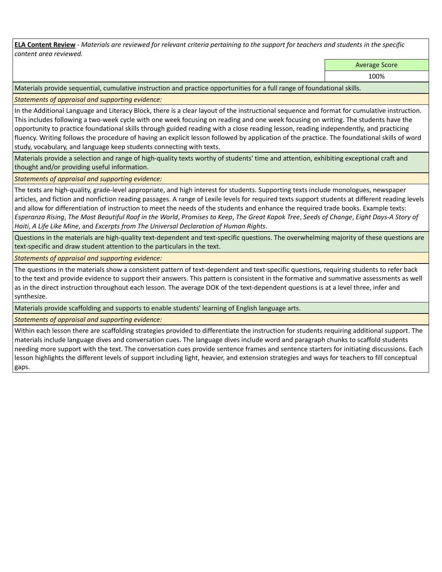**ELA Content Review** *- Materials are reviewed for relevant criteria pertaining to the support for teachers and students in the specific content area reviewed.*

Average Score

100%

Materials provide sequential, cumulative instruction and practice opportunities for a full range of foundational skills.

*Statements of appraisal and supporting evidence:* 

In the Additional Language and Literacy Block, there is a clear layout of the instructional sequence and format for cumulative instruction. This includes following a two-week cycle with one week focusing on reading and one week focusing on writing. The students have the opportunity to practice foundational skills through guided reading with a close reading lesson, reading independently, and practicing fluency. Writing follows the procedure of having an explicit lesson followed by application of the practice. The foundational skills of word study, vocabulary, and language keep students connecting with texts.

Materials provide a selection and range of high-quality texts worthy of students' time and attention, exhibiting exceptional craft and thought and/or providing useful information.

*Statements of appraisal and supporting evidence:* 

The texts are high-quality, grade-level appropriate, and high interest for students. Supporting texts include monologues, newspaper articles, and fiction and nonfiction reading passages. A range of Lexile levels for required texts support students at different reading levels and allow for differentiation of instruction to meet the needs of the students and enhance the required trade books. Example texts: *Esperanza Rising*, *The Most Beautiful Roof in the World*, *Promises to Keep*, *The Great Kapok Tree*, *Seeds of Change*, *Eight Days-A Story of Haiti*, *A Life Like Mine*, and *Excerpts from The Universal Declaration of Human Rights*.

Questions in the materials are high-quality text-dependent and text-specific questions. The overwhelming majority of these questions are text-specific and draw student attention to the particulars in the text.

*Statements of appraisal and supporting evidence:* 

The questions in the materials show a consistent pattern of text-dependent and text-specific questions, requiring students to refer back to the text and provide evidence to support their answers. This pattern is consistent in the formative and summative assessments as well as in the direct instruction throughout each lesson. The average DOK of the text-dependent questions is at a level three, infer and synthesize.

Materials provide scaffolding and supports to enable students' learning of English language arts.

*Statements of appraisal and supporting evidence:* 

Within each lesson there are scaffolding strategies provided to differentiate the instruction for students requiring additional support. The materials include language dives and conversation cues. The language dives include word and paragraph chunks to scaffold students needing more support with the text. The conversation cues provide sentence frames and sentence starters for initiating discussions. Each lesson highlights the different levels of support including light, heavier, and extension strategies and ways for teachers to fill conceptual gaps.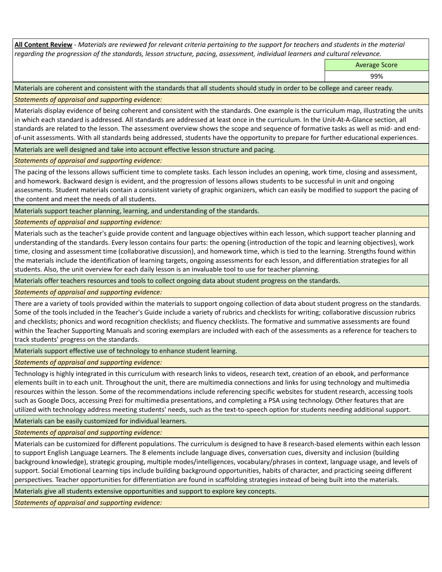**All Content Review** *- Materials are reviewed for relevant criteria pertaining to the support for teachers and students in the material regarding the progression of the standards, lesson structure, pacing, assessment, individual learners and cultural relevance.*

Average Score

99%

Materials are coherent and consistent with the standards that all students should study in order to be college and career ready.

*Statements of appraisal and supporting evidence:*

Materials display evidence of being coherent and consistent with the standards. One example is the curriculum map, illustrating the units in which each standard is addressed. All standards are addressed at least once in the curriculum. In the Unit-At-A-Glance section, all standards are related to the lesson. The assessment overview shows the scope and sequence of formative tasks as well as mid- and endof-unit assessments. With all standards being addressed, students have the opportunity to prepare for further educational experiences.

Materials are well designed and take into account effective lesson structure and pacing.

*Statements of appraisal and supporting evidence:*

The pacing of the lessons allows sufficient time to complete tasks. Each lesson includes an opening, work time, closing and assessment, and homework. Backward design is evident, and the progression of lessons allows students to be successful in unit and ongoing assessments. Student materials contain a consistent variety of graphic organizers, which can easily be modified to support the pacing of the content and meet the needs of all students.

Materials support teacher planning, learning, and understanding of the standards.

*Statements of appraisal and supporting evidence:*

Materials such as the teacher's guide provide content and language objectives within each lesson, which support teacher planning and understanding of the standards. Every lesson contains four parts: the opening (introduction of the topic and learning objectives), work time, closing and assessment time (collaborative discussion), and homework time, which is tied to the learning. Strengths found within the materials include the identification of learning targets, ongoing assessments for each lesson, and differentiation strategies for all students. Also, the unit overview for each daily lesson is an invaluable tool to use for teacher planning.

Materials offer teachers resources and tools to collect ongoing data about student progress on the standards.

*Statements of appraisal and supporting evidence:*

There are a variety of tools provided within the materials to support ongoing collection of data about student progress on the standards. Some of the tools included in the Teacher's Guide include a variety of rubrics and checklists for writing; collaborative discussion rubrics and checklists; phonics and word recognition checklists; and fluency checklists. The formative and summative assessments are found within the Teacher Supporting Manuals and scoring exemplars are included with each of the assessments as a reference for teachers to track students' progress on the standards.

Materials support effective use of technology to enhance student learning.

*Statements of appraisal and supporting evidence:*

Technology is highly integrated in this curriculum with research links to videos, research text, creation of an ebook, and performance elements built in to each unit. Throughout the unit, there are multimedia connections and links for using technology and multimedia resources within the lesson. Some of the recommendations include referencing specific websites for student research, accessing tools such as Google Docs, accessing Prezi for multimedia presentations, and completing a PSA using technology. Other features that are utilized with technology address meeting students' needs, such as the text-to-speech option for students needing additional support.

Materials can be easily customized for individual learners.

*Statements of appraisal and supporting evidence:* 

Materials can be customized for different populations. The curriculum is designed to have 8 research-based elements within each lesson to support English Language Learners. The 8 elements include language dives, conversation cues, diversity and inclusion (building background knowledge), strategic grouping, multiple modes/intelligences, vocabulary/phrases in context, language usage, and levels of support. Social Emotional Learning tips include building background opportunities, habits of character, and practicing seeing different perspectives. Teacher opportunities for differentiation are found in scaffolding strategies instead of being built into the materials.

Materials give all students extensive opportunities and support to explore key concepts.

*Statements of appraisal and supporting evidence:*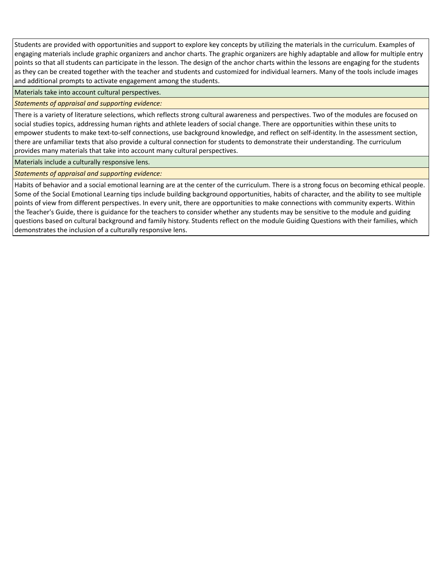Students are provided with opportunities and support to explore key concepts by utilizing the materials in the curriculum. Examples of engaging materials include graphic organizers and anchor charts. The graphic organizers are highly adaptable and allow for multiple entry points so that all students can participate in the lesson. The design of the anchor charts within the lessons are engaging for the students as they can be created together with the teacher and students and customized for individual learners. Many of the tools include images and additional prompts to activate engagement among the students.

Materials take into account cultural perspectives.

# *Statements of appraisal and supporting evidence:*

There is a variety of literature selections, which reflects strong cultural awareness and perspectives. Two of the modules are focused on social studies topics, addressing human rights and athlete leaders of social change. There are opportunities within these units to empower students to make text-to-self connections, use background knowledge, and reflect on self-identity. In the assessment section, there are unfamiliar texts that also provide a cultural connection for students to demonstrate their understanding. The curriculum provides many materials that take into account many cultural perspectives.

Materials include a culturally responsive lens.

*Statements of appraisal and supporting evidence:*

Habits of behavior and a social emotional learning are at the center of the curriculum. There is a strong focus on becoming ethical people. Some of the Social Emotional Learning tips include building background opportunities, habits of character, and the ability to see multiple points of view from different perspectives. In every unit, there are opportunities to make connections with community experts. Within the Teacher's Guide, there is guidance for the teachers to consider whether any students may be sensitive to the module and guiding questions based on cultural background and family history. Students reflect on the module Guiding Questions with their families, which demonstrates the inclusion of a culturally responsive lens.